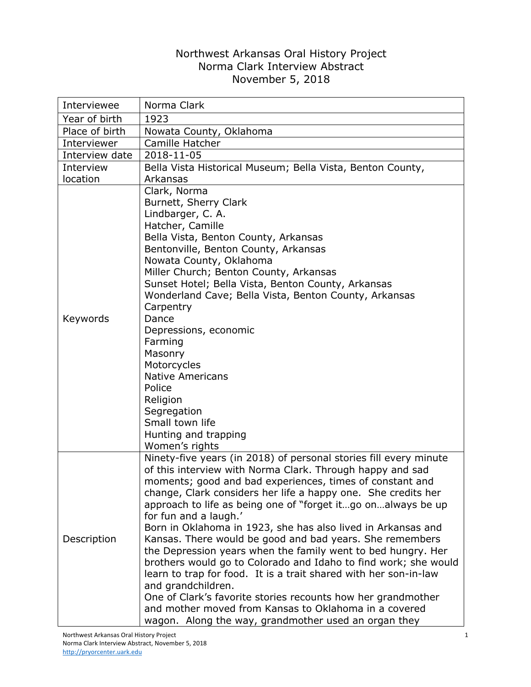## Northwest Arkansas Oral History Project Norma Clark Interview Abstract November 5, 2018

| Interviewee    | Norma Clark                                                                                                                                                                                                                                                                                                                                                                                                                                                                                                                                                                                                                                                                                                                                                                                                                                                                                    |
|----------------|------------------------------------------------------------------------------------------------------------------------------------------------------------------------------------------------------------------------------------------------------------------------------------------------------------------------------------------------------------------------------------------------------------------------------------------------------------------------------------------------------------------------------------------------------------------------------------------------------------------------------------------------------------------------------------------------------------------------------------------------------------------------------------------------------------------------------------------------------------------------------------------------|
| Year of birth  | 1923                                                                                                                                                                                                                                                                                                                                                                                                                                                                                                                                                                                                                                                                                                                                                                                                                                                                                           |
| Place of birth | Nowata County, Oklahoma                                                                                                                                                                                                                                                                                                                                                                                                                                                                                                                                                                                                                                                                                                                                                                                                                                                                        |
| Interviewer    | Camille Hatcher                                                                                                                                                                                                                                                                                                                                                                                                                                                                                                                                                                                                                                                                                                                                                                                                                                                                                |
| Interview date | 2018-11-05                                                                                                                                                                                                                                                                                                                                                                                                                                                                                                                                                                                                                                                                                                                                                                                                                                                                                     |
| Interview      | Bella Vista Historical Museum; Bella Vista, Benton County,                                                                                                                                                                                                                                                                                                                                                                                                                                                                                                                                                                                                                                                                                                                                                                                                                                     |
| location       | Arkansas                                                                                                                                                                                                                                                                                                                                                                                                                                                                                                                                                                                                                                                                                                                                                                                                                                                                                       |
| Keywords       | Clark, Norma<br>Burnett, Sherry Clark<br>Lindbarger, C. A.<br>Hatcher, Camille<br>Bella Vista, Benton County, Arkansas<br>Bentonville, Benton County, Arkansas<br>Nowata County, Oklahoma<br>Miller Church; Benton County, Arkansas<br>Sunset Hotel; Bella Vista, Benton County, Arkansas<br>Wonderland Cave; Bella Vista, Benton County, Arkansas<br>Carpentry<br>Dance<br>Depressions, economic<br>Farming<br>Masonry<br>Motorcycles<br><b>Native Americans</b><br>Police<br>Religion<br>Segregation<br>Small town life<br>Hunting and trapping<br>Women's rights                                                                                                                                                                                                                                                                                                                            |
| Description    | Ninety-five years (in 2018) of personal stories fill every minute<br>of this interview with Norma Clark. Through happy and sad<br>moments; good and bad experiences, times of constant and<br>change, Clark considers her life a happy one. She credits her<br>approach to life as being one of "forget itgo onalways be up<br>for fun and a laugh.'<br>Born in Oklahoma in 1923, she has also lived in Arkansas and<br>Kansas. There would be good and bad years. She remembers<br>the Depression years when the family went to bed hungry. Her<br>brothers would go to Colorado and Idaho to find work; she would<br>learn to trap for food. It is a trait shared with her son-in-law<br>and grandchildren.<br>One of Clark's favorite stories recounts how her grandmother<br>and mother moved from Kansas to Oklahoma in a covered<br>wagon. Along the way, grandmother used an organ they |